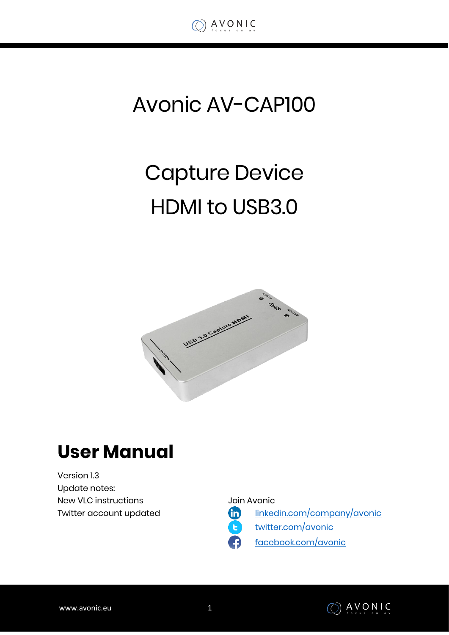

# Avonic AV-CAP100

# Capture Device HDMI to USB3.0



### **User Manual**

Version 1.3 Update notes: New VLC instructions Twitter account updated

Join Avonic

[linkedin.com/company/avonic](https://www.linkedin.com/company/avonic/)



[twitter.com/avonic](https://twitter.com/Avonic)

[facebook.com/avonic](https://www.facebook.com/Avonic-1669459376690123/)

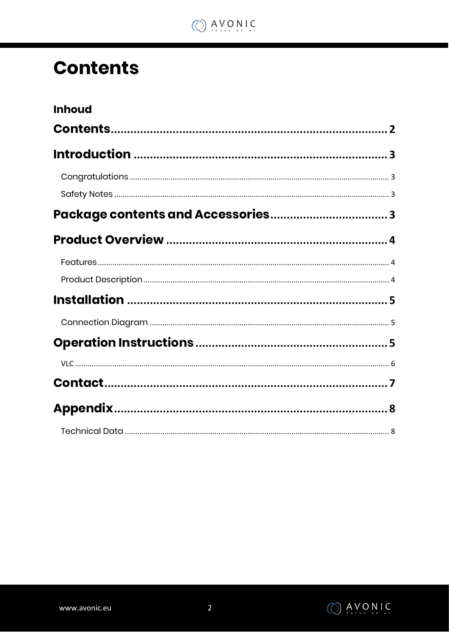

## <span id="page-1-0"></span>**Contents**

| <b>Inhoud</b> |  |
|---------------|--|
|               |  |
|               |  |
|               |  |
|               |  |
|               |  |
|               |  |
|               |  |
|               |  |
|               |  |
|               |  |
|               |  |
|               |  |
|               |  |
|               |  |
|               |  |

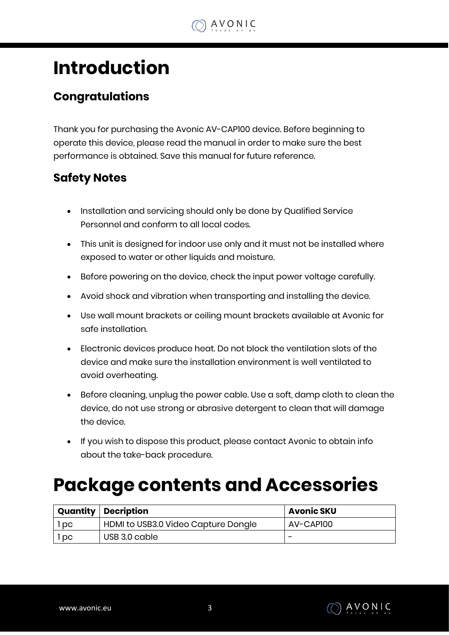

### <span id="page-2-0"></span>**Introduction**

### <span id="page-2-1"></span>**Congratulations**

Thank you for purchasing the Avonic AV-CAP100 device. Before beginning to operate this device, please read the manual in order to make sure the best performance is obtained. Save this manual for future reference.

#### <span id="page-2-2"></span>**Safety Notes**

- Installation and servicing should only be done by Qualified Service Personnel and conform to all local codes.
- This unit is designed for indoor use only and it must not be installed where exposed to water or other liquids and moisture.
- Before powering on the device, check the input power voltage carefully.
- Avoid shock and vibration when transporting and installing the device.
- Use wall mount brackets or ceiling mount brackets available at Avonic for safe installation.
- Electronic devices produce heat. Do not block the ventilation slots of the device and make sure the installation environment is well ventilated to avoid overheating.
- Before cleaning, unplug the power cable. Use a soft, damp cloth to clean the device, do not use strong or abrasive detergent to clean that will damage the device.
- If you wish to dispose this product, please contact Avonic to obtain info about the take-back procedure.

### <span id="page-2-3"></span>**Package contents and Accessories**

|      | <b>Quantity   Decription</b>        | <b>Avonic SKU</b> |
|------|-------------------------------------|-------------------|
| 1 pc | HDMI to USB3.0 Video Capture Dongle | AV-CAPI00         |
| l pc | USB 3.0 cable                       | -                 |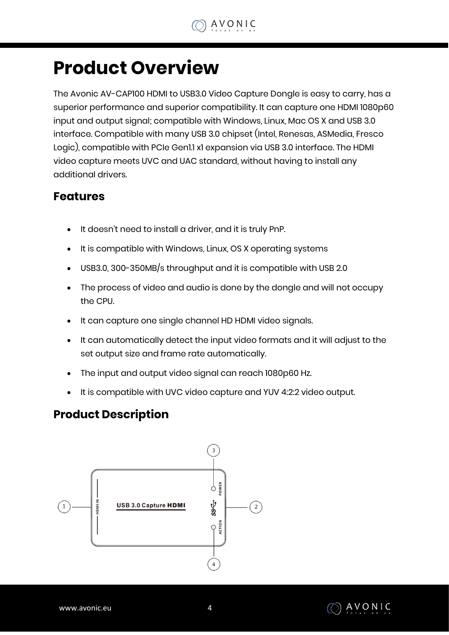### <span id="page-3-0"></span>**Product Overview**

The Avonic AV-CAP100 HDMI to USB3.0 Video Capture Dongle is easy to carry, has a superior performance and superior compatibility. It can capture one HDMI 1080p60 input and output signal; compatible with Windows, Linux, Mac OS X and USB 3.0 interface. Compatible with many USB 3.0 chipset (Intel, Renesas, ASMedia, Fresco Logic), compatible with PCIe Gen1.1 x1 expansion via USB 3.0 interface. The HDMI video capture meets UVC and UAC standard, without having to install any additional drivers.

#### <span id="page-3-1"></span>**Features**

- It doesn't need to install a driver, and it is truly PnP.
- It is compatible with Windows, Linux, OS X operating systems
- USB3.0, 300-350MB/s throughput and it is compatible with USB 2.0
- The process of video and audio is done by the dongle and will not occupy the CPU.
- It can capture one single channel HD HDMI video signals.
- It can automatically detect the input video formats and it will adjust to the set output size and frame rate automatically.
- The input and output video signal can reach 1080p60 Hz.
- It is compatible with UVC video capture and YUV 4:2:2 video output.

#### <span id="page-3-2"></span>**Product Description**



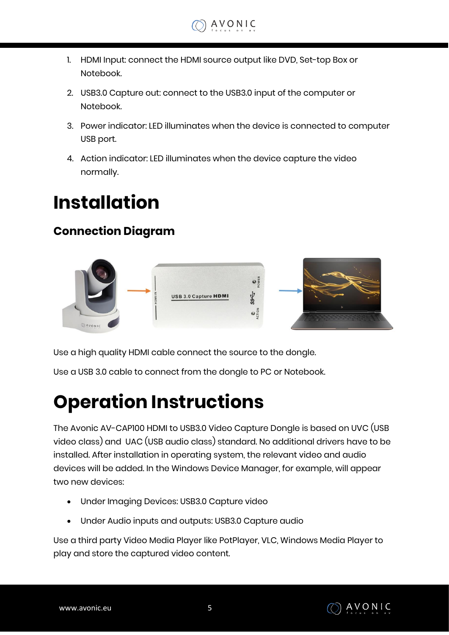- 1. HDMI Input: connect the HDMI source output like DVD, Set-top Box or Notebook.
- 2. USB3.0 Capture out: connect to the USB3.0 input of the computer or Notebook.
- 3. Power indicator: LED illuminates when the device is connected to computer USB port.
- 4. Action indicator: LED illuminates when the device capture the video normally.

## <span id="page-4-0"></span>**Installation**

### <span id="page-4-1"></span>**Connection Diagram**



Use a high quality HDMI cable connect the source to the dongle.

Use a USB 3.0 cable to connect from the dongle to PC or Notebook.

## <span id="page-4-2"></span>**Operation Instructions**

The Avonic AV-CAP100 HDMI to USB3.0 Video Capture Dongle is based on UVC (USB video class) and UAC (USB audio class) standard. No additional drivers have to be installed. After installation in operating system, the relevant video and audio devices will be added. In the Windows Device Manager, for example, will appear two new devices:

- Under Imaging Devices: USB3.0 Capture video
- Under Audio inputs and outputs: USB3.0 Capture audio

Use a third party Video Media Player like PotPlayer, VLC, Windows Media Player to play and store the captured video content.

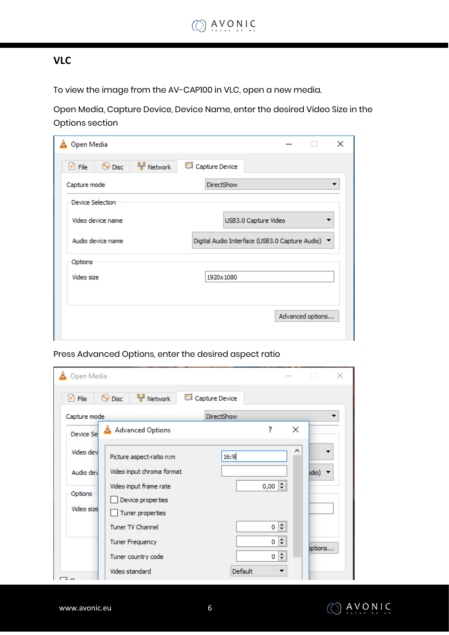#### <span id="page-5-0"></span>**VLC**

To view the image from the AV-CAP100 in VLC, open a new media.

Open Media, Capture Device, Device Name, enter the desired Video Size in the Options section

| $\frac{1}{2}$ Network<br>$\odot$ Disc<br>$\triangleright$ File | Capture Device                                   |
|----------------------------------------------------------------|--------------------------------------------------|
| Capture mode                                                   | <b>DirectShow</b>                                |
| Device Selection                                               |                                                  |
| Video device name                                              | USB3.0 Capture Video                             |
| Audio device name                                              | Digital Audio Interface (USB3.0 Capture Audio) ▼ |
|                                                                |                                                  |
| Options                                                        |                                                  |
| Video size                                                     | 1920x1080                                        |
|                                                                |                                                  |

| Open Media                 |                                                                 |                   |   | $\times$ |
|----------------------------|-----------------------------------------------------------------|-------------------|---|----------|
| $\blacktriangleright$ File | $\frac{1}{2}$ Network<br>$\odot$ Disc                           | Capture Device    |   |          |
| Capture mode               |                                                                 | <b>DirectShow</b> |   |          |
| Device Se                  | A Advanced Options                                              | ?                 | × |          |
| Video dev                  | Picture aspect-ratio n:m                                        | 16:9              | ۸ |          |
| Audio dev                  | Video input chroma format                                       |                   |   | idio)    |
| Options<br>Video size      | Video input frame rate<br>Device properties<br>Tuner properties | $0,00$ $\div$     |   |          |
|                            | <b>Tuner TV Channel</b>                                         | 0                 | ÷ |          |
|                            | <b>Tuner Frequency</b>                                          | 0                 | ÷ | ptions   |
|                            | Tuner country code                                              | 0                 | ÷ |          |
| □∼                         | Video standard                                                  | Default           |   |          |

Press Advanced Options, enter the desired aspect ratio

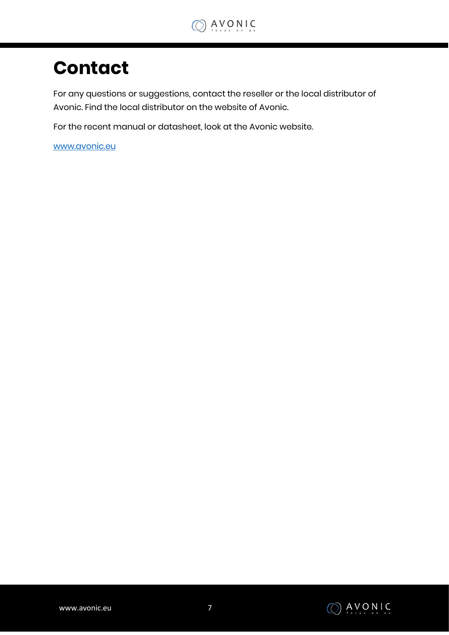### <span id="page-6-0"></span>**Contact**

For any questions or suggestions, contact the reseller or the local distributor of Avonic. Find the local distributor on the website of Avonic.

For the recent manual or datasheet, look at the Avonic website.

[www.avonic.eu](http://www.avonic.eu/)